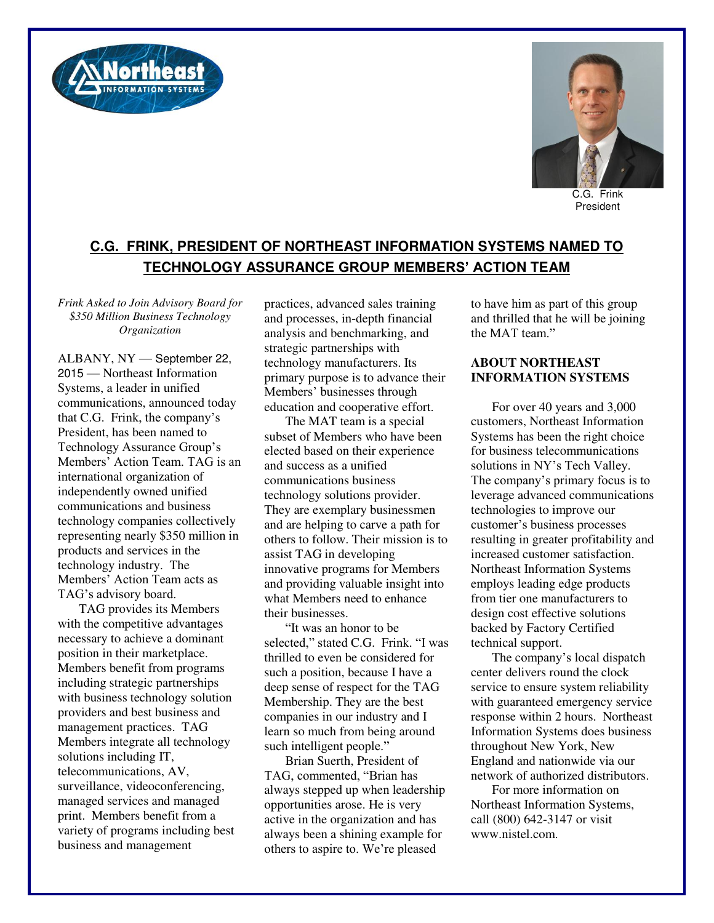



C.G. Frink President

## **C.G. FRINK, PRESIDENT OF NORTHEAST INFORMATION SYSTEMS NAMED TO TECHNOLOGY ASSURANCE GROUP MEMBERS' ACTION TEAM**

*Frink Asked to Join Advisory Board for \$350 Million Business Technology Organization* 

ALBANY, NY — September 22, 2015 — Northeast Information Systems, a leader in unified communications, announced today that C.G. Frink, the company's President, has been named to Technology Assurance Group's Members' Action Team. TAG is an international organization of independently owned unified communications and business technology companies collectively representing nearly \$350 million in products and services in the technology industry. The Members' Action Team acts as TAG's advisory board.

TAG provides its Members with the competitive advantages necessary to achieve a dominant position in their marketplace. Members benefit from programs including strategic partnerships with business technology solution providers and best business and management practices. TAG Members integrate all technology solutions including IT, telecommunications, AV, surveillance, videoconferencing, managed services and managed print. Members benefit from a variety of programs including best business and management

practices, advanced sales training and processes, in-depth financial analysis and benchmarking, and strategic partnerships with technology manufacturers. Its primary purpose is to advance their Members' businesses through education and cooperative effort.

The MAT team is a special subset of Members who have been elected based on their experience and success as a unified communications business technology solutions provider. They are exemplary businessmen and are helping to carve a path for others to follow. Their mission is to assist TAG in developing innovative programs for Members and providing valuable insight into what Members need to enhance their businesses.

"It was an honor to be selected," stated C.G. Frink. "I was thrilled to even be considered for such a position, because I have a deep sense of respect for the TAG Membership. They are the best companies in our industry and I learn so much from being around such intelligent people."

Brian Suerth, President of TAG, commented, "Brian has always stepped up when leadership opportunities arose. He is very active in the organization and has always been a shining example for others to aspire to. We're pleased

to have him as part of this group and thrilled that he will be joining the MAT team"

## **ABOUT NORTHEAST INFORMATION SYSTEMS**

For over 40 years and 3,000 customers, Northeast Information Systems has been the right choice for business telecommunications solutions in NY's Tech Valley. The company's primary focus is to leverage advanced communications technologies to improve our customer's business processes resulting in greater profitability and increased customer satisfaction. Northeast Information Systems employs leading edge products from tier one manufacturers to design cost effective solutions backed by Factory Certified technical support.

The company's local dispatch center delivers round the clock service to ensure system reliability with guaranteed emergency service response within 2 hours. Northeast Information Systems does business throughout New York, New England and nationwide via our network of authorized distributors.

For more information on Northeast Information Systems, call (800) 642-3147 or visit www.nistel.com.